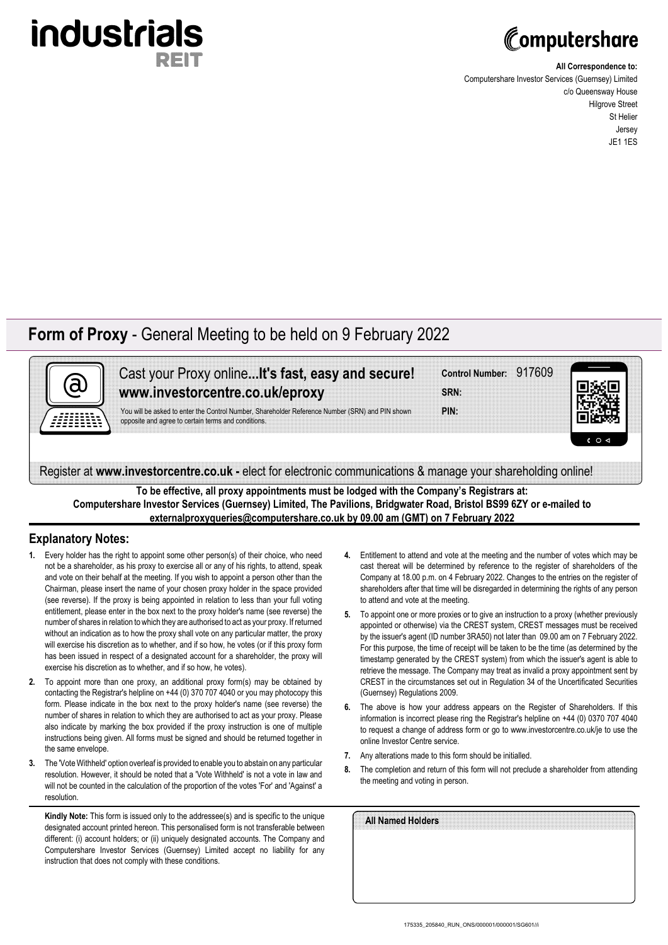

# Computershare

**All Correspondence to:**

Computershare Investor Services (Guernsey) Limited c/o Queensway House Hilgrove Street St Helier Jersey JE1 1ES

## **Form of Proxy** - General Meeting to be held on 9 February 2022



Cast your Proxy online**...It's fast, easy and secure! www.investorcentre.co.uk/eproxy**

You will be asked to enter the Control Number, Shareholder Reference Number (SRN) and PIN shown opposite and agree to certain terms and conditions.

|      | Control Number: 917609 |  |
|------|------------------------|--|
|      |                        |  |
|      |                        |  |
|      |                        |  |
|      |                        |  |
| SRN: |                        |  |
|      |                        |  |
|      |                        |  |
|      |                        |  |
|      |                        |  |

**PIN:**



Register at **www.investorcentre.co.uk -** elect for electronic communications & manage your shareholding online!

**To be effective, all proxy appointments must be lodged with the Company's Registrars at: Computershare Investor Services (Guernsey) Limited, The Pavilions, Bridgwater Road, Bristol BS99 6ZY or e-mailed to externalproxyqueries@computershare.co.uk by 09.00 am (GMT) on 7 February 2022**

## **Explanatory Notes:**

- **1.** Every holder has the right to appoint some other person(s) of their choice, who need not be a shareholder, as his proxy to exercise all or any of his rights, to attend, speak and vote on their behalf at the meeting. If you wish to appoint a person other than the Chairman, please insert the name of your chosen proxy holder in the space provided (see reverse). If the proxy is being appointed in relation to less than your full voting entitlement, please enter in the box next to the proxy holder's name (see reverse) the number of shares in relation to which they are authorised to act as your proxy. If returned without an indication as to how the proxy shall vote on any particular matter, the proxy will exercise his discretion as to whether, and if so how, he votes (or if this proxy form has been issued in respect of a designated account for a shareholder, the proxy will exercise his discretion as to whether, and if so how, he votes).
- **2.** To appoint more than one proxy, an additional proxy form(s) may be obtained by contacting the Registrar's helpline on +44 (0) 370 707 4040 or you may photocopy this form. Please indicate in the box next to the proxy holder's name (see reverse) the number of shares in relation to which they are authorised to act as your proxy. Please also indicate by marking the box provided if the proxy instruction is one of multiple instructions being given. All forms must be signed and should be returned together in the same envelope.
- **3.** The 'Vote Withheld' option overleaf is provided to enable you to abstain on any particular resolution. However, it should be noted that a 'Vote Withheld' is not a vote in law and will not be counted in the calculation of the proportion of the votes 'For' and 'Against' a resolution.

**Kindly Note:** This form is issued only to the addressee(s) and is specific to the unique designated account printed hereon. This personalised form is not transferable between different: (i) account holders; or (ii) uniquely designated accounts. The Company and Computershare Investor Services (Guernsey) Limited accept no liability for any instruction that does not comply with these conditions.

- **4.** Entitlement to attend and vote at the meeting and the number of votes which may be cast thereat will be determined by reference to the register of shareholders of the Company at 18.00 p.m. on 4 February 2022. Changes to the entries on the register of shareholders after that time will be disregarded in determining the rights of any person to attend and vote at the meeting.
- **5.** To appoint one or more proxies or to give an instruction to a proxy (whether previously appointed or otherwise) via the CREST system, CREST messages must be received by the issuer's agent (ID number 3RA50) not later than 09.00 am on 7 February 2022. For this purpose, the time of receipt will be taken to be the time (as determined by the timestamp generated by the CREST system) from which the issuer's agent is able to retrieve the message. The Company may treat as invalid a proxy appointment sent by CREST in the circumstances set out in Regulation 34 of the Uncertificated Securities (Guernsey) Regulations 2009.
- **6.** The above is how your address appears on the Register of Shareholders. If this information is incorrect please ring the Registrar's helpline on +44 (0) 0370 707 4040 to request a change of address form or go to www.investorcentre.co.uk/je to use the online Investor Centre service.
- **7.** Any alterations made to this form should be initialled.
- **8.** The completion and return of this form will not preclude a shareholder from attending the meeting and voting in person.

| All Named Holders |  |  |  |
|-------------------|--|--|--|
|                   |  |  |  |
|                   |  |  |  |
|                   |  |  |  |
|                   |  |  |  |